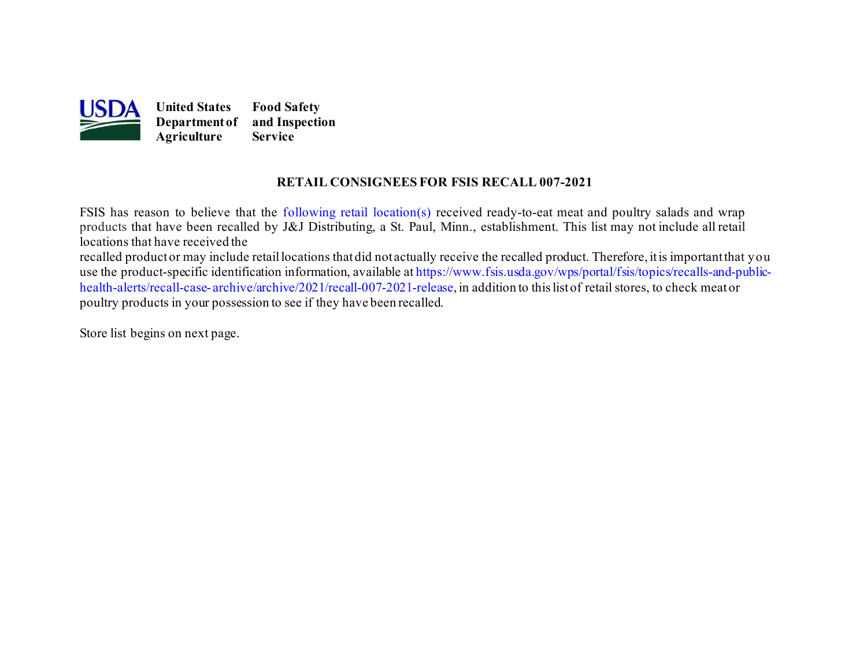

## **RETAIL CONSIGNEES FOR FSIS RECALL 007-2021**

 products that have been recalled by J&J Distributing, a St. Paul, Minn., establishment. This list may not include all retail locations that have received the recalled productor may include retaillocations thatdid not actually receive the recalled product. Therefore, itis importantthat you FSIS has reason to believe that the [following retail location\(s\)](#page-1-0) received ready-to-eat meat and poultry salads and wrap

[health-alerts/recall-case-](https://www.fsis.usda.gov/wps/portal/fsis/topics/recalls-and-public-health-alerts/recall-case-archive/archive/2021/recall-007-2021-release) [archive/archive/2021/recall-007-2021-release,](https://www.fsis.usda.gov/wps/portal/fsis/topics/recalls-and-public-health-alerts/recall-case-archive/archive/2021/recall-007-2021-release) in addition to this list of retail stores, to check meator use the product-specific identification information, available a[t https://www.fsis.usda.gov/wps/portal/fsis/topics/recalls-and-public](https://www.fsis.usda.gov/wps/portal/fsis/topics/recalls-and-public-health-alerts/recall-case-archive/archive/2021/recall-007-2021-release)poultry products in your possession to see if they have been recalled.

Store list begins on [next page.](#page-1-0)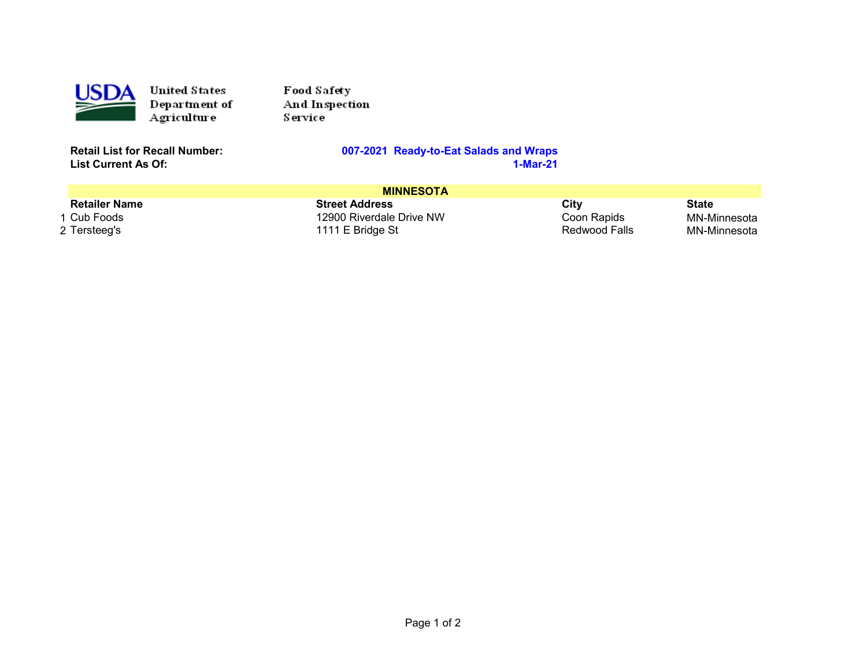<span id="page-1-0"></span>

United States Department of Agriculture

Food Safety And Inspection Service

**List Current As Of:** 

## **Retail List for Recall Number: 007-2021 Ready-to-Eat Salads and Wraps**

| <b>MINNESOTA</b>     |                          |               |              |  |  |
|----------------------|--------------------------|---------------|--------------|--|--|
| <b>Retailer Name</b> | <b>Street Address</b>    | City          | <b>State</b> |  |  |
| 1 Cub Foods          | 12900 Riverdale Drive NW | Coon Rapids   | MN-Minnesota |  |  |
| 2 Tersteeg's         | 1111 E Bridge St         | Redwood Falls | MN-Minnesota |  |  |